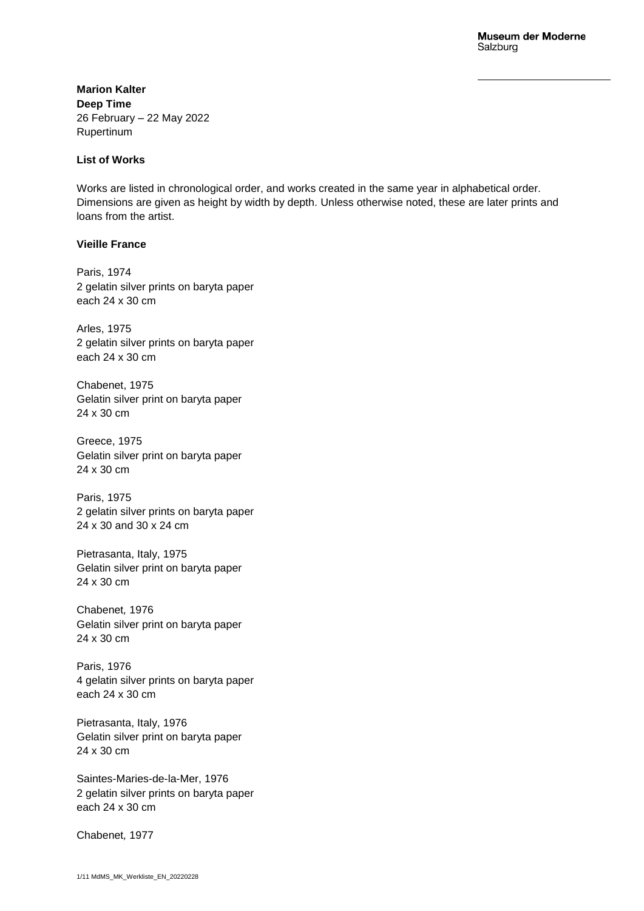**Marion Kalter Deep Time** 26 February – 22 May 2022 Rupertinum

## **List of Works**

Works are listed in chronological order, and works created in the same year in alphabetical order. Dimensions are given as height by width by depth. Unless otherwise noted, these are later prints and loans from the artist.

# **Vieille France**

Paris, 1974 2 gelatin silver prints on baryta paper each 24 x 30 cm

Arles, 1975 2 gelatin silver prints on baryta paper each 24 x 30 cm

Chabenet, 1975 Gelatin silver print on baryta paper 24 x 30 cm

Greece, 1975 Gelatin silver print on baryta paper 24 x 30 cm

Paris, 1975 2 gelatin silver prints on baryta paper 24 x 30 and 30 x 24 cm

Pietrasanta, Italy, 1975 Gelatin silver print on baryta paper 24 x 30 cm

Chabenet*,* 1976 Gelatin silver print on baryta paper 24 x 30 cm

Paris, 1976 4 gelatin silver prints on baryta paper each 24 x 30 cm

Pietrasanta, Italy, 1976 Gelatin silver print on baryta paper 24 x 30 cm

Saintes-Maries-de-la-Mer, 1976 2 gelatin silver prints on baryta paper each 24 x 30 cm

Chabenet*,* 1977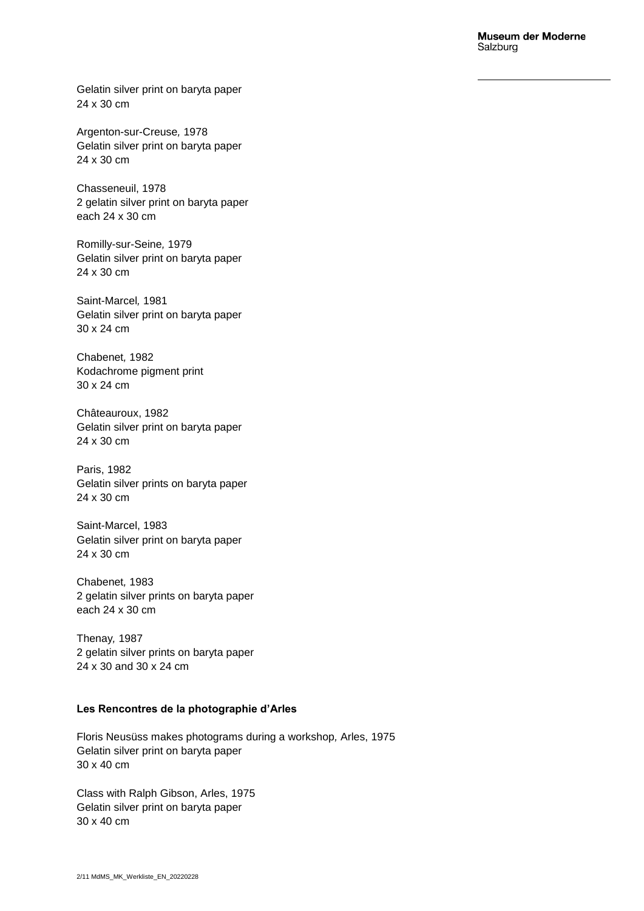Gelatin silver print on baryta paper 24 x 30 cm

Argenton-sur-Creuse*,* 1978 Gelatin silver print on baryta paper 24 x 30 cm

Chasseneuil, 1978 2 gelatin silver print on baryta paper each 24 x 30 cm

Romilly-sur-Seine*,* 1979 Gelatin silver print on baryta paper 24 x 30 cm

Saint-Marcel*,* 1981 Gelatin silver print on baryta paper 30 x 24 cm

Chabenet*,* 1982 Kodachrome pigment print 30 x 24 cm

Châteauroux, 1982 Gelatin silver print on baryta paper 24 x 30 cm

Paris, 1982 Gelatin silver prints on baryta paper 24 x 30 cm

Saint-Marcel, 1983 Gelatin silver print on baryta paper 24 x 30 cm

Chabenet*,* 1983 2 gelatin silver prints on baryta paper each 24 x 30 cm

Thenay*,* 1987 2 gelatin silver prints on baryta paper 24 x 30 and 30 x 24 cm

## **Les Rencontres de la photographie d'Arles**

Floris Neusüss makes photograms during a workshop*,* Arles, 1975 Gelatin silver print on baryta paper 30 x 40 cm

Class with Ralph Gibson, Arles, 1975 Gelatin silver print on baryta paper 30 x 40 cm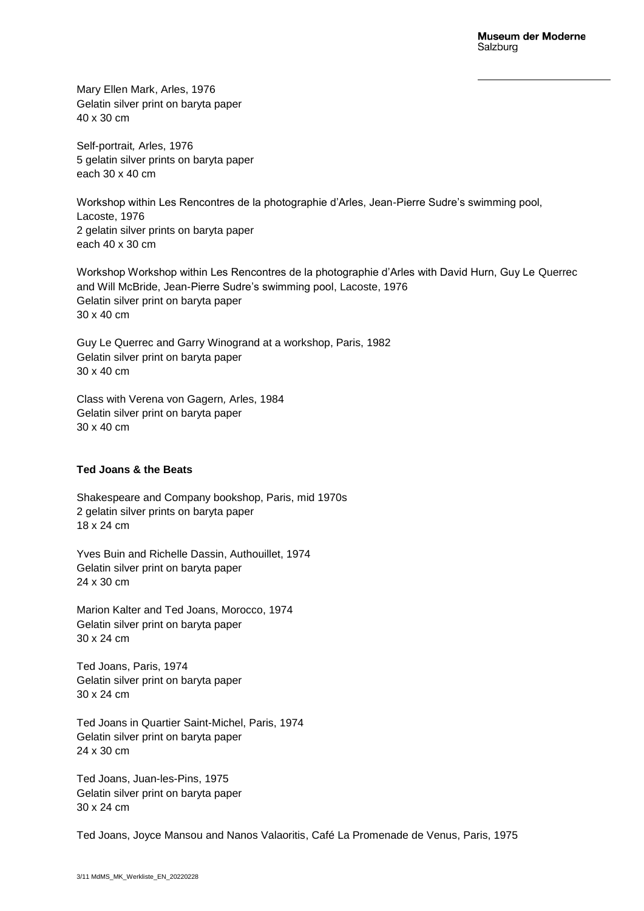Mary Ellen Mark, Arles, 1976 Gelatin silver print on baryta paper 40 x 30 cm

Self-portrait*,* Arles, 1976 5 gelatin silver prints on baryta paper each 30 x 40 cm

Workshop within Les Rencontres de la photographie d'Arles, Jean-Pierre Sudre's swimming pool, Lacoste, 1976 2 gelatin silver prints on baryta paper each 40 x 30 cm

Workshop Workshop within Les Rencontres de la photographie d'Arles with David Hurn, Guy Le Querrec and Will McBride, Jean-Pierre Sudre's swimming pool, Lacoste, 1976 Gelatin silver print on baryta paper 30 x 40 cm

Guy Le Querrec and Garry Winogrand at a workshop, Paris, 1982 Gelatin silver print on baryta paper 30 x 40 cm

Class with Verena von Gagern*,* Arles, 1984 Gelatin silver print on baryta paper 30 x 40 cm

### **Ted Joans & the Beats**

Shakespeare and Company bookshop, Paris, mid 1970s 2 gelatin silver prints on baryta paper 18 x 24 cm

Yves Buin and Richelle Dassin, Authouillet, 1974 Gelatin silver print on baryta paper 24 x 30 cm

Marion Kalter and Ted Joans, Morocco, 1974 Gelatin silver print on baryta paper 30 x 24 cm

Ted Joans, Paris, 1974 Gelatin silver print on baryta paper 30 x 24 cm

Ted Joans in Quartier Saint-Michel, Paris, 1974 Gelatin silver print on baryta paper 24 x 30 cm

Ted Joans, Juan-les-Pins, 1975 Gelatin silver print on baryta paper 30 x 24 cm

Ted Joans, Joyce Mansou and Nanos Valaoritis, Café La Promenade de Venus, Paris, 1975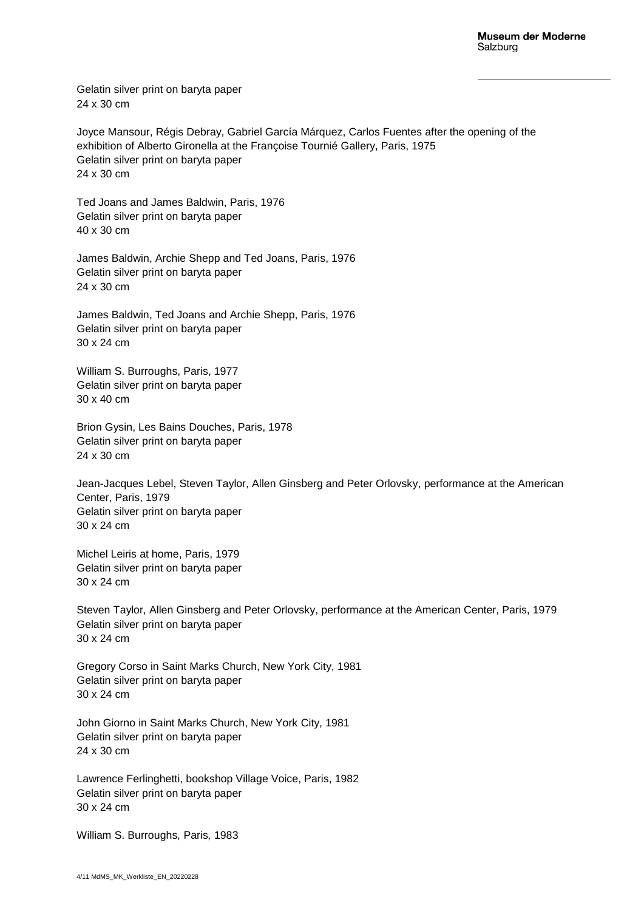Gelatin silver print on baryta paper 24 x 30 cm

Joyce Mansour, Régis Debray, Gabriel García Márquez, Carlos Fuentes after the opening of the exhibition of Alberto Gironella at the Françoise Tournié Gallery, Paris, 1975 Gelatin silver print on baryta paper 24 x 30 cm

Ted Joans and James Baldwin, Paris, 1976 Gelatin silver print on baryta paper 40 x 30 cm

James Baldwin, Archie Shepp and Ted Joans, Paris, 1976 Gelatin silver print on baryta paper 24 x 30 cm

James Baldwin, Ted Joans and Archie Shepp, Paris, 1976 Gelatin silver print on baryta paper 30 x 24 cm

William S. Burroughs, Paris, 1977 Gelatin silver print on baryta paper 30 x 40 cm

Brion Gysin, Les Bains Douches, Paris, 1978 Gelatin silver print on baryta paper 24 x 30 cm

Jean-Jacques Lebel, Steven Taylor, Allen Ginsberg and Peter Orlovsky, performance at the American Center, Paris, 1979 Gelatin silver print on baryta paper 30 x 24 cm

Michel Leiris at home, Paris, 1979 Gelatin silver print on baryta paper 30 x 24 cm

Steven Taylor, Allen Ginsberg and Peter Orlovsky, performance at the American Center, Paris, 1979 Gelatin silver print on baryta paper 30 x 24 cm

Gregory Corso in Saint Marks Church, New York City, 1981 Gelatin silver print on baryta paper 30 x 24 cm

John Giorno in Saint Marks Church, New York City, 1981 Gelatin silver print on baryta paper 24 x 30 cm

Lawrence Ferlinghetti, bookshop Village Voice, Paris, 1982 Gelatin silver print on baryta paper 30 x 24 cm

William S. Burroughs*,* Paris*,* 1983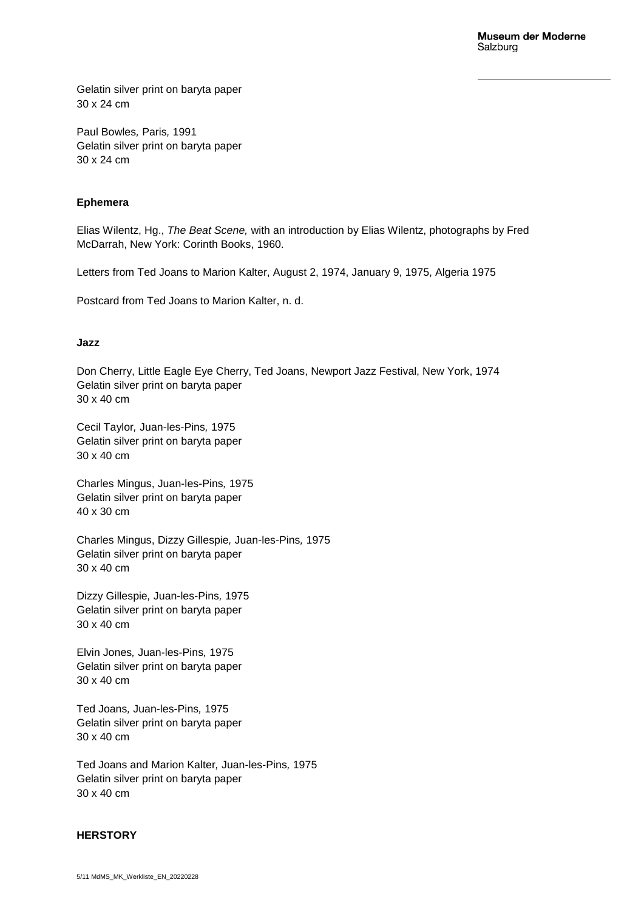Gelatin silver print on baryta paper 30 x 24 cm

Paul Bowles*,* Paris*,* 1991 Gelatin silver print on baryta paper 30 x 24 cm

### **Ephemera**

Elias Wilentz, Hg., *The Beat Scene,* with an introduction by Elias Wilentz, photographs by Fred McDarrah, New York: Corinth Books, 1960.

Letters from Ted Joans to Marion Kalter, August 2, 1974, January 9, 1975, Algeria 1975

Postcard from Ted Joans to Marion Kalter, n. d.

#### **Jazz**

Don Cherry, Little Eagle Eye Cherry, Ted Joans, Newport Jazz Festival, New York, 1974 Gelatin silver print on baryta paper 30 x 40 cm

Cecil Taylor*,* Juan-les-Pins*,* 1975 Gelatin silver print on baryta paper 30 x 40 cm

Charles Mingus, Juan-les-Pins*,* 1975 Gelatin silver print on baryta paper 40 x 30 cm

Charles Mingus, Dizzy Gillespie*,* Juan-les-Pins*,* 1975 Gelatin silver print on baryta paper 30 x 40 cm

Dizzy Gillespie*,* Juan-les-Pins*,* 1975 Gelatin silver print on baryta paper 30 x 40 cm

Elvin Jones*,* Juan-les-Pins*,* 1975 Gelatin silver print on baryta paper 30 x 40 cm

Ted Joans*,* Juan-les-Pins*,* 1975 Gelatin silver print on baryta paper 30 x 40 cm

Ted Joans and Marion Kalter*,* Juan-les-Pins*,* 1975 Gelatin silver print on baryta paper 30 x 40 cm

#### **HERSTORY**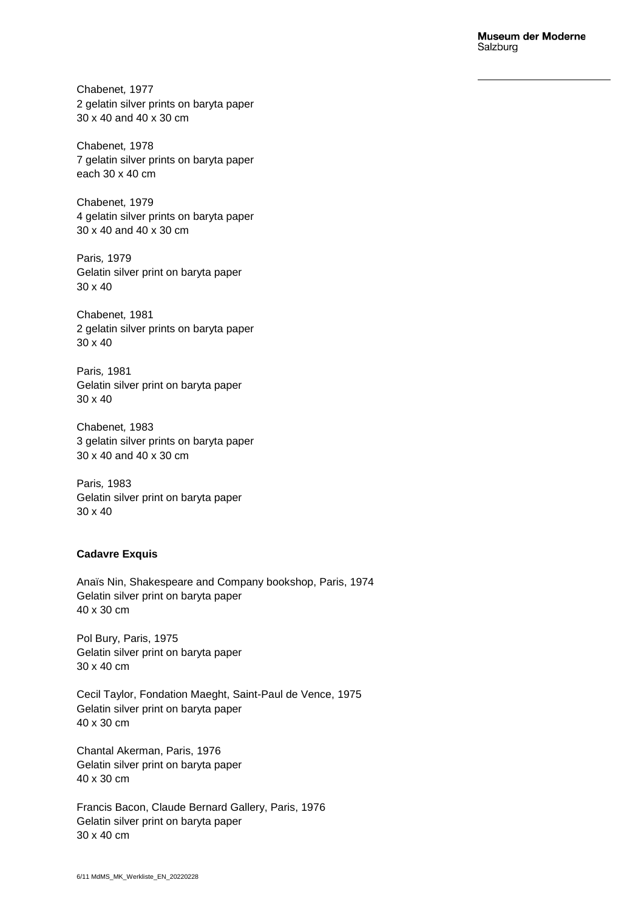Chabenet*,* 1977 2 gelatin silver prints on baryta paper 30 x 40 and 40 x 30 cm

Chabenet*,* 1978 7 gelatin silver prints on baryta paper each 30 x 40 cm

Chabenet*,* 1979 4 gelatin silver prints on baryta paper 30 x 40 and 40 x 30 cm

Paris*,* 1979 Gelatin silver print on baryta paper 30 x 40

Chabenet*,* 1981 2 gelatin silver prints on baryta paper 30 x 40

Paris*,* 1981 Gelatin silver print on baryta paper 30 x 40

Chabenet*,* 1983 3 gelatin silver prints on baryta paper 30 x 40 and 40 x 30 cm

Paris*,* 1983 Gelatin silver print on baryta paper 30 x 40

### **Cadavre Exquis**

Anaïs Nin, Shakespeare and Company bookshop, Paris, 1974 Gelatin silver print on baryta paper 40 x 30 cm

Pol Bury, Paris, 1975 Gelatin silver print on baryta paper 30 x 40 cm

Cecil Taylor, Fondation Maeght, Saint-Paul de Vence, 1975 Gelatin silver print on baryta paper 40 x 30 cm

Chantal Akerman, Paris, 1976 Gelatin silver print on baryta paper 40 x 30 cm

Francis Bacon, Claude Bernard Gallery, Paris, 1976 Gelatin silver print on baryta paper 30 x 40 cm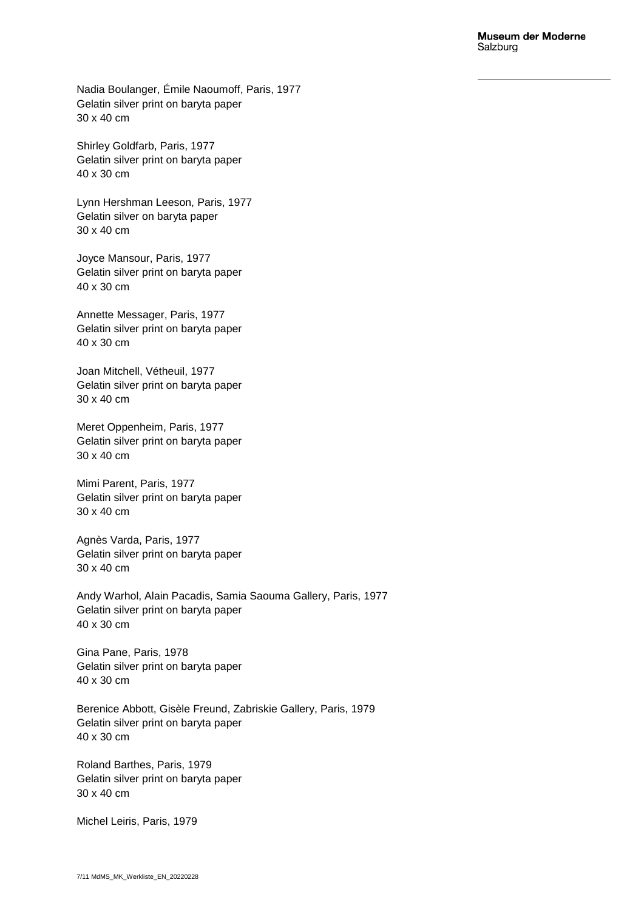Nadia Boulanger, Émile Naoumoff, Paris, 1977 Gelatin silver print on baryta paper 30 x 40 cm

Shirley Goldfarb, Paris, 1977 Gelatin silver print on baryta paper 40 x 30 cm

Lynn Hershman Leeson, Paris, 1977 Gelatin silver on baryta paper 30 x 40 cm

Joyce Mansour, Paris, 1977 Gelatin silver print on baryta paper 40 x 30 cm

Annette Messager, Paris, 1977 Gelatin silver print on baryta paper 40 x 30 cm

Joan Mitchell, Vétheuil, 1977 Gelatin silver print on baryta paper 30 x 40 cm

Meret Oppenheim, Paris, 1977 Gelatin silver print on baryta paper 30 x 40 cm

Mimi Parent, Paris, 1977 Gelatin silver print on baryta paper 30 x 40 cm

Agnès Varda, Paris, 1977 Gelatin silver print on baryta paper 30 x 40 cm

Andy Warhol, Alain Pacadis, Samia Saouma Gallery, Paris, 1977 Gelatin silver print on baryta paper 40 x 30 cm

Gina Pane, Paris, 1978 Gelatin silver print on baryta paper 40 x 30 cm

Berenice Abbott, Gisèle Freund, Zabriskie Gallery, Paris, 1979 Gelatin silver print on baryta paper 40 x 30 cm

Roland Barthes, Paris, 1979 Gelatin silver print on baryta paper 30 x 40 cm

Michel Leiris, Paris, 1979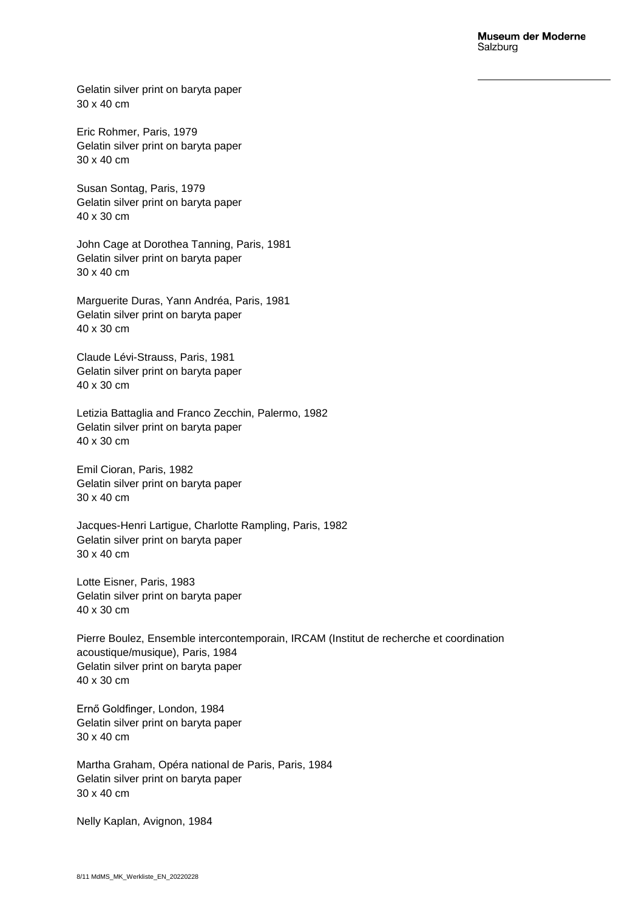Gelatin silver print on baryta paper 30 x 40 cm

Eric Rohmer, Paris, 1979 Gelatin silver print on baryta paper 30 x 40 cm

Susan Sontag, Paris, 1979 Gelatin silver print on baryta paper 40 x 30 cm

John Cage at Dorothea Tanning, Paris, 1981 Gelatin silver print on baryta paper 30 x 40 cm

Marguerite Duras, Yann Andréa, Paris, 1981 Gelatin silver print on baryta paper 40 x 30 cm

Claude Lévi-Strauss, Paris, 1981 Gelatin silver print on baryta paper 40 x 30 cm

Letizia Battaglia and Franco Zecchin, Palermo, 1982 Gelatin silver print on baryta paper 40 x 30 cm

Emil Cioran, Paris, 1982 Gelatin silver print on baryta paper 30 x 40 cm

Jacques-Henri Lartigue, Charlotte Rampling, Paris, 1982 Gelatin silver print on baryta paper 30 x 40 cm

Lotte Eisner, Paris, 1983 Gelatin silver print on baryta paper 40 x 30 cm

Pierre Boulez, Ensemble intercontemporain, IRCAM (Institut de recherche et coordination acoustique/musique), Paris, 1984 Gelatin silver print on baryta paper 40 x 30 cm

Ernő Goldfinger, London, 1984 Gelatin silver print on baryta paper 30 x 40 cm

Martha Graham, Opéra national de Paris, Paris, 1984 Gelatin silver print on baryta paper 30 x 40 cm

Nelly Kaplan, Avignon, 1984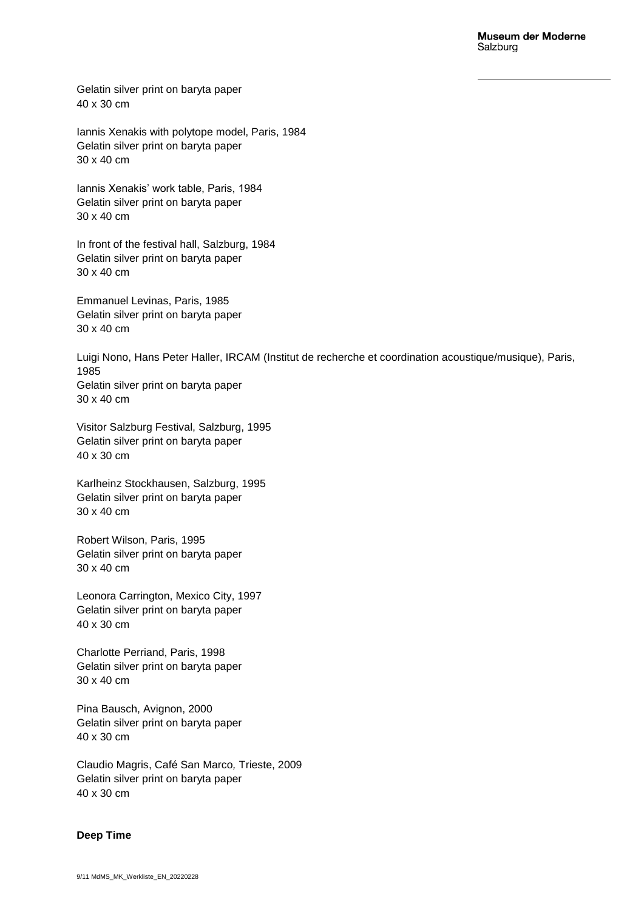Gelatin silver print on baryta paper 40 x 30 cm

Iannis Xenakis with polytope model, Paris, 1984 Gelatin silver print on baryta paper 30 x 40 cm

Iannis Xenakis' work table, Paris, 1984 Gelatin silver print on baryta paper 30 x 40 cm

In front of the festival hall, Salzburg, 1984 Gelatin silver print on baryta paper 30 x 40 cm

Emmanuel Levinas, Paris, 1985 Gelatin silver print on baryta paper 30 x 40 cm

Luigi Nono, Hans Peter Haller, IRCAM (Institut de recherche et coordination acoustique/musique), Paris, 1985 Gelatin silver print on baryta paper 30 x 40 cm

Visitor Salzburg Festival, Salzburg, 1995 Gelatin silver print on baryta paper 40 x 30 cm

Karlheinz Stockhausen, Salzburg, 1995 Gelatin silver print on baryta paper 30 x 40 cm

Robert Wilson, Paris, 1995 Gelatin silver print on baryta paper 30 x 40 cm

Leonora Carrington, Mexico City, 1997 Gelatin silver print on baryta paper 40 x 30 cm

Charlotte Perriand, Paris, 1998 Gelatin silver print on baryta paper 30 x 40 cm

Pina Bausch, Avignon, 2000 Gelatin silver print on baryta paper 40 x 30 cm

Claudio Magris, Café San Marco*,* Trieste, 2009 Gelatin silver print on baryta paper 40 x 30 cm

### **Deep Time**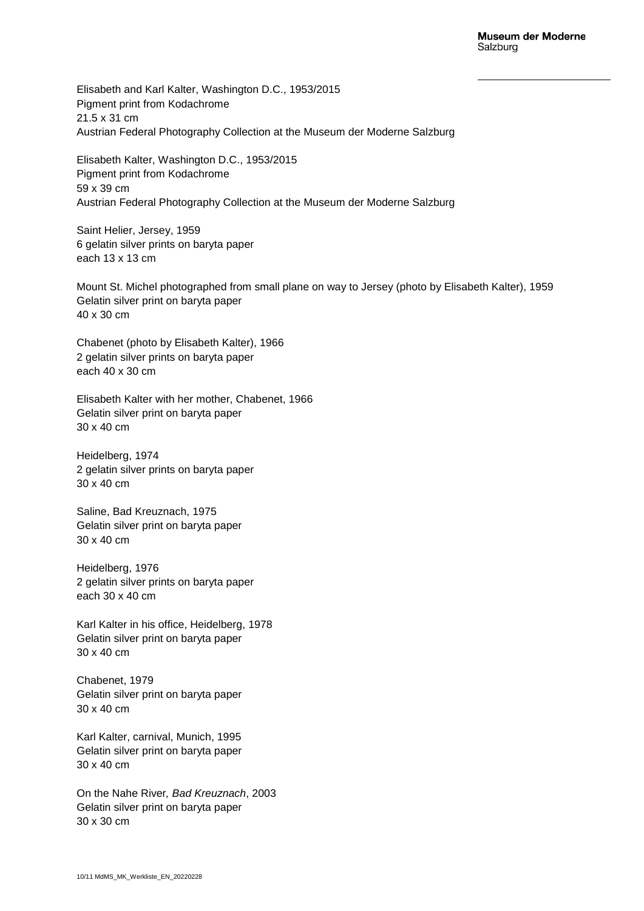Elisabeth and Karl Kalter, Washington D.C., 1953/2015 Pigment print from Kodachrome 21.5 x 31 cm Austrian Federal Photography Collection at the Museum der Moderne Salzburg

Elisabeth Kalter, Washington D.C., 1953/2015 Pigment print from Kodachrome 59 x 39 cm Austrian Federal Photography Collection at the Museum der Moderne Salzburg

Saint Helier, Jersey, 1959 6 gelatin silver prints on baryta paper each 13 x 13 cm

Mount St. Michel photographed from small plane on way to Jersey (photo by Elisabeth Kalter), 1959 Gelatin silver print on baryta paper 40 x 30 cm

Chabenet (photo by Elisabeth Kalter), 1966 2 gelatin silver prints on baryta paper each 40 x 30 cm

Elisabeth Kalter with her mother, Chabenet, 1966 Gelatin silver print on baryta paper 30 x 40 cm

Heidelberg, 1974 2 gelatin silver prints on baryta paper 30 x 40 cm

Saline, Bad Kreuznach, 1975 Gelatin silver print on baryta paper 30 x 40 cm

Heidelberg, 1976 2 gelatin silver prints on baryta paper each 30 x 40 cm

Karl Kalter in his office, Heidelberg, 1978 Gelatin silver print on baryta paper 30 x 40 cm

Chabenet, 1979 Gelatin silver print on baryta paper 30 x 40 cm

Karl Kalter, carnival, Munich, 1995 Gelatin silver print on baryta paper 30 x 40 cm

On the Nahe River*, Bad Kreuznach*, 2003 Gelatin silver print on baryta paper 30 x 30 cm